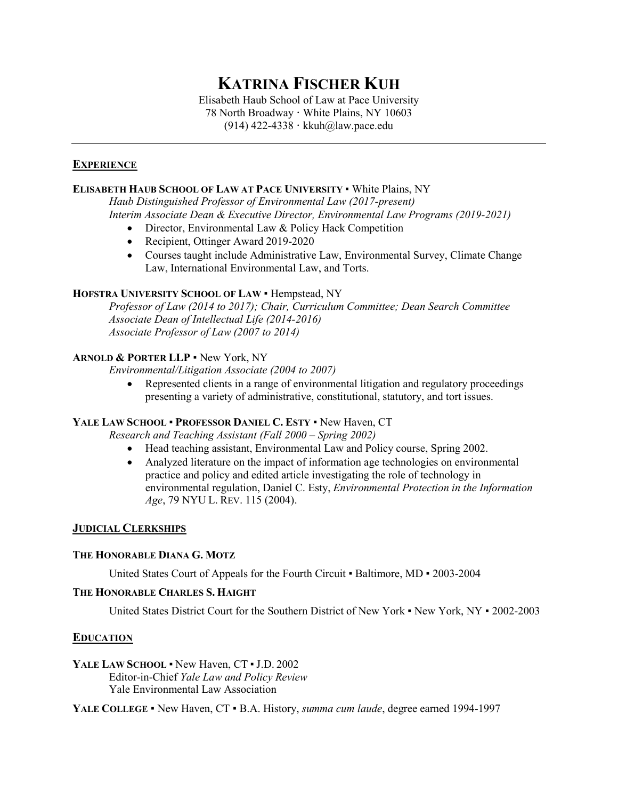# **KATRINA FISCHER KUH**

Elisabeth Haub School of Law at Pace University 78 North Broadway **·** White Plains, NY 10603 (914) 422-4338 **·** kkuh@law.pace.edu

# **EXPERIENCE**

## **ELISABETH HAUB SCHOOL OF LAW AT PACE UNIVERSITY** ▪ White Plains, NY

*Haub Distinguished Professor of Environmental Law (2017-present) Interim Associate Dean & Executive Director, Environmental Law Programs (2019-2021)*

- Director, Environmental Law & Policy Hack Competition
- Recipient, Ottinger Award 2019-2020
- Courses taught include Administrative Law, Environmental Survey, Climate Change Law, International Environmental Law, and Torts.

### **HOFSTRA UNIVERSITY SCHOOL OF LAW** ▪ Hempstead, NY

*Professor of Law (2014 to 2017); Chair, Curriculum Committee; Dean Search Committee Associate Dean of Intellectual Life (2014-2016) Associate Professor of Law (2007 to 2014)*

## **ARNOLD & PORTER LLP** ▪ New York, NY

*Environmental/Litigation Associate (2004 to 2007)*

• Represented clients in a range of environmental litigation and regulatory proceedings presenting a variety of administrative, constitutional, statutory, and tort issues.

## **YALE LAW SCHOOL** ▪ **PROFESSOR DANIEL C. ESTY** ▪ New Haven, CT

*Research and Teaching Assistant (Fall 2000 – Spring 2002)* 

- Head teaching assistant, Environmental Law and Policy course, Spring 2002.
- Analyzed literature on the impact of information age technologies on environmental practice and policy and edited article investigating the role of technology in environmental regulation, Daniel C. Esty, *Environmental Protection in the Information Age*, 79 NYU L. REV. 115 (2004).

## **JUDICIAL CLERKSHIPS**

#### **THE HONORABLE DIANA G. MOTZ**

United States Court of Appeals for the Fourth Circuit • Baltimore, MD • 2003-2004

#### **THE HONORABLE CHARLES S. HAIGHT**

United States District Court for the Southern District of New York ▪ New York, NY ▪ 2002-2003

#### **EDUCATION**

## YALE LAW SCHOOL **·** New Haven, CT · J.D. 2002

Editor-in-Chief *Yale Law and Policy Review* Yale Environmental Law Association

**YALE COLLEGE** ▪ New Haven, CT ▪ B.A. History, *summa cum laude*, degree earned 1994-1997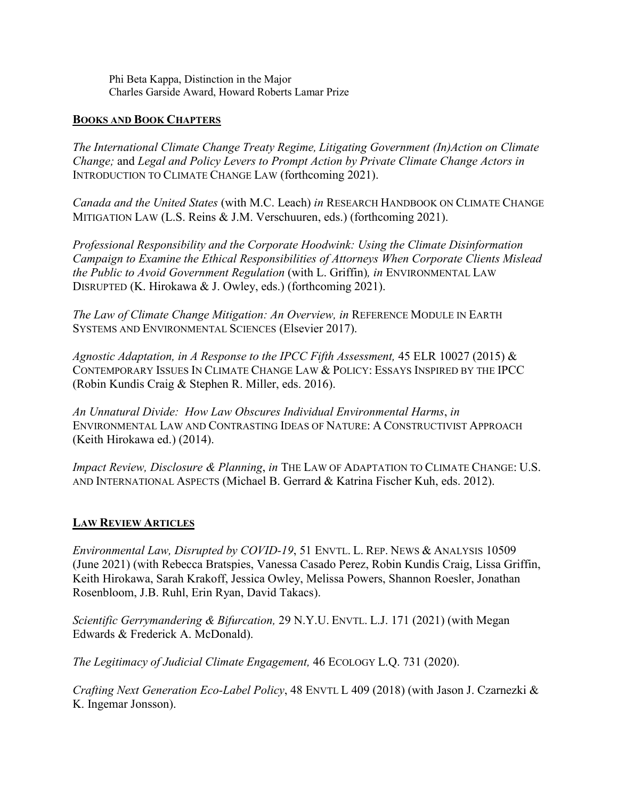Phi Beta Kappa, Distinction in the Major Charles Garside Award, Howard Roberts Lamar Prize

# **BOOKS AND BOOK CHAPTERS**

*The International Climate Change Treaty Regime, Litigating Government (In)Action on Climate Change;* and *Legal and Policy Levers to Prompt Action by Private Climate Change Actors in*  INTRODUCTION TO CLIMATE CHANGE LAW (forthcoming 2021).

*Canada and the United States* (with M.C. Leach) *in* RESEARCH HANDBOOK ON CLIMATE CHANGE MITIGATION LAW (L.S. Reins & J.M. Verschuuren, eds.) (forthcoming 2021).

*Professional Responsibility and the Corporate Hoodwink: Using the Climate Disinformation Campaign to Examine the Ethical Responsibilities of Attorneys When Corporate Clients Mislead the Public to Avoid Government Regulation* (with L. Griffin)*, in* ENVIRONMENTAL LAW DISRUPTED (K. Hirokawa & J. Owley, eds.) (forthcoming 2021).

*The Law of Climate Change Mitigation: An Overview, in* REFERENCE MODULE IN EARTH SYSTEMS AND ENVIRONMENTAL SCIENCES (Elsevier 2017).

*Agnostic Adaptation, in A Response to the IPCC Fifth Assessment,* 45 ELR 10027 (2015) & CONTEMPORARY ISSUES IN CLIMATE CHANGE LAW & POLICY: ESSAYS INSPIRED BY THE IPCC (Robin Kundis Craig & Stephen R. Miller, eds. 2016).

*An Unnatural Divide: How Law Obscures Individual Environmental Harms*, *in* ENVIRONMENTAL LAW AND CONTRASTING IDEAS OF NATURE: A CONSTRUCTIVIST APPROACH (Keith Hirokawa ed.) (2014).

*Impact Review, Disclosure & Planning*, *in* THE LAW OF ADAPTATION TO CLIMATE CHANGE: U.S. AND INTERNATIONAL ASPECTS (Michael B. Gerrard & Katrina Fischer Kuh, eds. 2012).

# **LAW REVIEW ARTICLES**

*Environmental Law, Disrupted by COVID-19*, 51 ENVTL. L. REP. NEWS & ANALYSIS 10509 (June 2021) (with Rebecca Bratspies, Vanessa Casado Perez, Robin Kundis Craig, Lissa Griffin, Keith Hirokawa, Sarah Krakoff, Jessica Owley, Melissa Powers, Shannon Roesler, Jonathan Rosenbloom, J.B. Ruhl, Erin Ryan, David Takacs).

*Scientific Gerrymandering & Bifurcation,* 29 N.Y.U. ENVTL. L.J. 171 (2021) (with Megan Edwards & Frederick A. McDonald).

*The Legitimacy of Judicial Climate Engagement,* 46 ECOLOGY L.Q. 731 (2020).

*Crafting Next Generation Eco-Label Policy*, 48 ENVTL L 409 (2018) (with Jason J. Czarnezki & K. Ingemar Jonsson).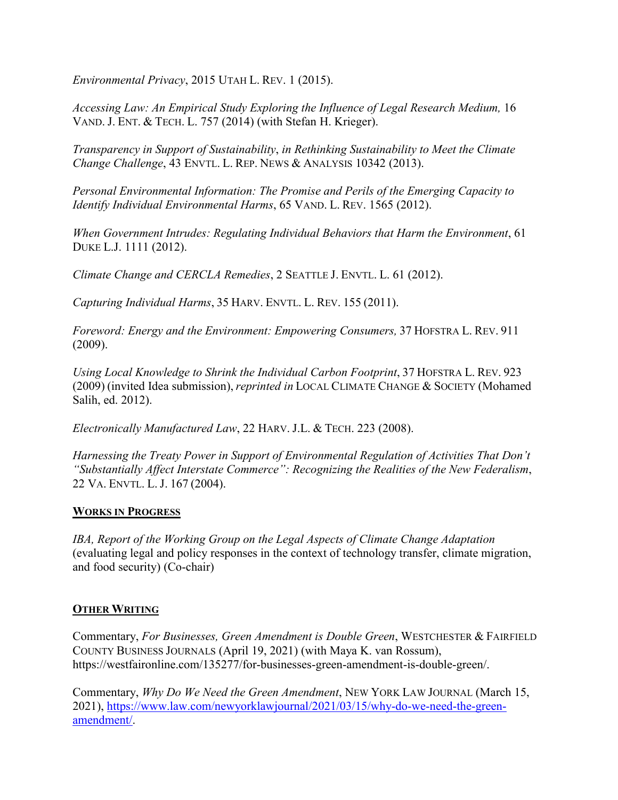*Environmental Privacy*, 2015 UTAH L. REV. 1 (2015).

*Accessing Law: An Empirical Study Exploring the Influence of Legal Research Medium, 16* VAND. J. ENT. & TECH. L. 757 (2014) (with Stefan H. Krieger).

*Transparency in Support of Sustainability*, *in Rethinking Sustainability to Meet the Climate Change Challenge*, 43 ENVTL. L. REP. NEWS & ANALYSIS 10342 (2013).

*Personal Environmental Information: The Promise and Perils of the Emerging Capacity to Identify Individual Environmental Harms*, 65 VAND. L. REV. 1565 (2012).

*When Government Intrudes: Regulating Individual Behaviors that Harm the Environment*, 61 DUKE L.J. 1111 (2012).

*Climate Change and CERCLA Remedies*, 2 SEATTLE J. ENVTL. L. 61 (2012).

*Capturing Individual Harms*, 35 HARV. ENVTL. L. REV. 155 (2011).

*Foreword: Energy and the Environment: Empowering Consumers,* 37 HOFSTRA L. REV. 911 (2009).

*Using Local Knowledge to Shrink the Individual Carbon Footprint*, 37 HOFSTRA L. REV. 923 (2009) (invited Idea submission), *reprinted in* LOCAL CLIMATE CHANGE & SOCIETY (Mohamed Salih, ed. 2012).

*Electronically Manufactured Law*, 22 HARV. J.L. & TECH. 223 (2008).

*Harnessing the Treaty Power in Support of Environmental Regulation of Activities That Don't "Substantially Affect Interstate Commerce": Recognizing the Realities of the New Federalism*, 22 VA. ENVTL. L. J. 167 (2004).

# **WORKS IN PROGRESS**

*IBA, Report of the Working Group on the Legal Aspects of Climate Change Adaptation* (evaluating legal and policy responses in the context of technology transfer, climate migration, and food security) (Co-chair)

# **OTHER WRITING**

Commentary, *For Businesses, Green Amendment is Double Green*, WESTCHESTER & FAIRFIELD COUNTY BUSINESS JOURNALS (April 19, 2021) (with Maya K. van Rossum), https://westfaironline.com/135277/for-businesses-green-amendment-is-double-green/.

Commentary, *Why Do We Need the Green Amendment*, NEW YORK LAW JOURNAL (March 15, 2021), https://www.law.com/newyo[rklawjournal/2021/03/15/why](https://www.law.com/newyorklawjournal/2021/03/15/why-do-we-need-the-green-amendment/)-do-we-need-the-green[amendment/.](https://www.law.com/newyorklawjournal/2021/03/15/why-do-we-need-the-green-amendment/)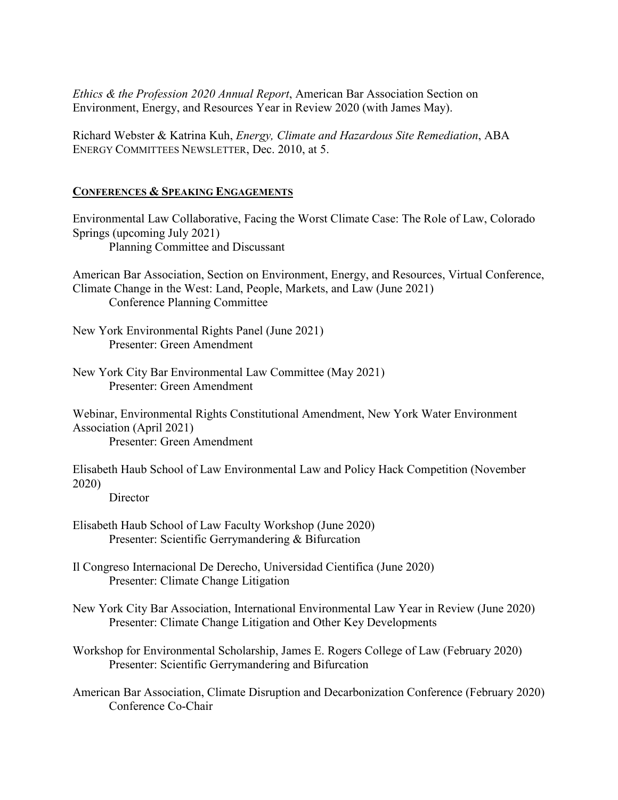*Ethics & the Profession 2020 Annual Report*, American Bar Association Section on Environment, Energy, and Resources Year in Review 2020 (with James May).

Richard Webster & Katrina Kuh, *Energy, Climate and Hazardous Site Remediation*, ABA ENERGY COMMITTEES NEWSLETTER, Dec. 2010, at 5.

# **CONFERENCES & SPEAKING ENGAGEMENTS**

Environmental Law Collaborative, Facing the Worst Climate Case: The Role of Law, Colorado Springs (upcoming July 2021) Planning Committee and Discussant

American Bar Association, Section on Environment, Energy, and Resources, Virtual Conference, Climate Change in the West: Land, People, Markets, and Law (June 2021) Conference Planning Committee

New York Environmental Rights Panel (June 2021) Presenter: Green Amendment

New York City Bar Environmental Law Committee (May 2021) Presenter: Green Amendment

Webinar, Environmental Rights Constitutional Amendment, New York Water Environment Association (April 2021) Presenter: Green Amendment

Elisabeth Haub School of Law Environmental Law and Policy Hack Competition (November 2020)

**Director** 

- Elisabeth Haub School of Law Faculty Workshop (June 2020) Presenter: Scientific Gerrymandering & Bifurcation
- Il Congreso Internacional De Derecho, Universidad Cientifica (June 2020) Presenter: Climate Change Litigation
- New York City Bar Association, International Environmental Law Year in Review (June 2020) Presenter: Climate Change Litigation and Other Key Developments
- Workshop for Environmental Scholarship, James E. Rogers College of Law (February 2020) Presenter: Scientific Gerrymandering and Bifurcation
- American Bar Association, Climate Disruption and Decarbonization Conference (February 2020) Conference Co-Chair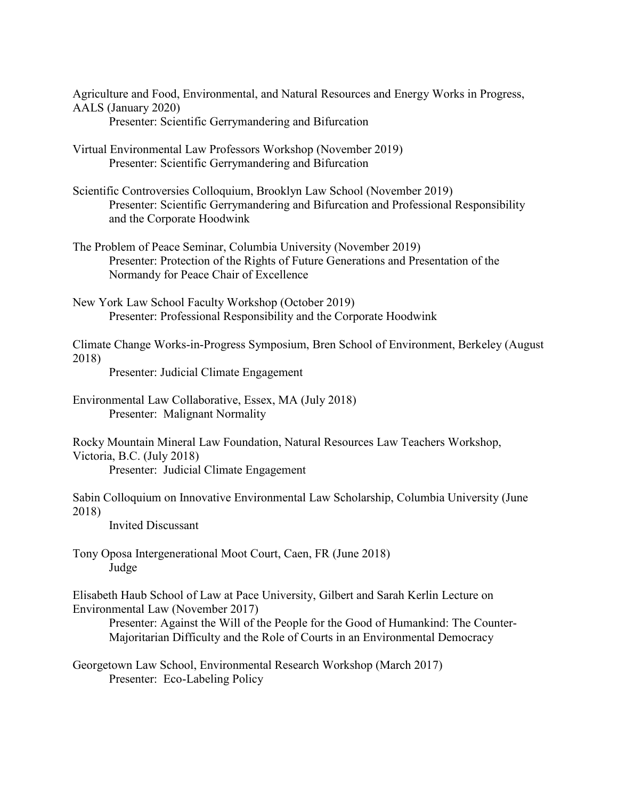Agriculture and Food, Environmental, and Natural Resources and Energy Works in Progress, AALS (January 2020)

- Presenter: Scientific Gerrymandering and Bifurcation
- Virtual Environmental Law Professors Workshop (November 2019) Presenter: Scientific Gerrymandering and Bifurcation
- Scientific Controversies Colloquium, Brooklyn Law School (November 2019) Presenter: Scientific Gerrymandering and Bifurcation and Professional Responsibility and the Corporate Hoodwink
- The Problem of Peace Seminar, Columbia University (November 2019) Presenter: Protection of the Rights of Future Generations and Presentation of the Normandy for Peace Chair of Excellence
- New York Law School Faculty Workshop (October 2019) Presenter: Professional Responsibility and the Corporate Hoodwink

Climate Change Works-in-Progress Symposium, Bren School of Environment, Berkeley (August 2018)

Presenter: Judicial Climate Engagement

Environmental Law Collaborative, Essex, MA (July 2018) Presenter: Malignant Normality

Rocky Mountain Mineral Law Foundation, Natural Resources Law Teachers Workshop, Victoria, B.C. (July 2018) Presenter: Judicial Climate Engagement

Sabin Colloquium on Innovative Environmental Law Scholarship, Columbia University (June 2018)

Invited Discussant

Tony Oposa Intergenerational Moot Court, Caen, FR (June 2018) Judge

Elisabeth Haub School of Law at Pace University, Gilbert and Sarah Kerlin Lecture on Environmental Law (November 2017)

Presenter: Against the Will of the People for the Good of Humankind: The Counter-Majoritarian Difficulty and the Role of Courts in an Environmental Democracy

Georgetown Law School, Environmental Research Workshop (March 2017) Presenter: Eco-Labeling Policy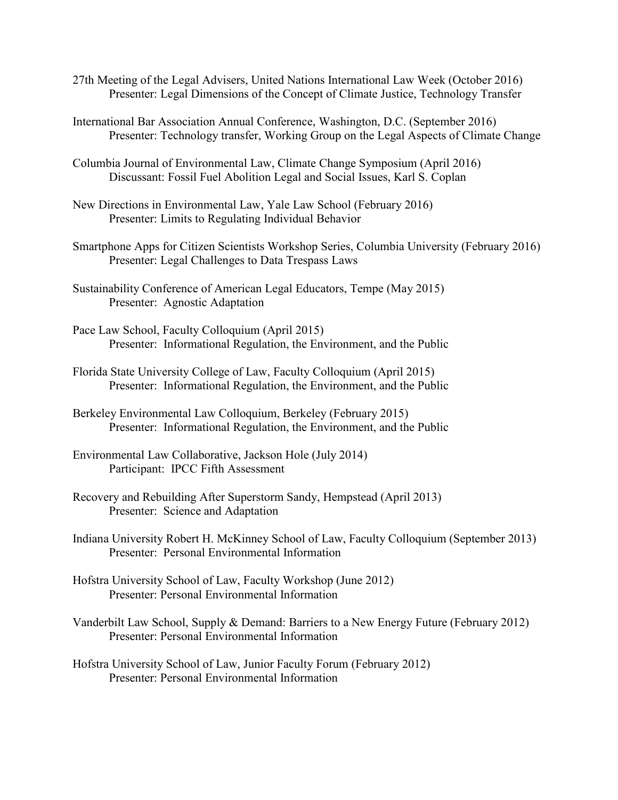- 27th Meeting of the Legal Advisers, United Nations International Law Week (October 2016) Presenter: Legal Dimensions of the Concept of Climate Justice, Technology Transfer
- International Bar Association Annual Conference, Washington, D.C. (September 2016) Presenter: Technology transfer, Working Group on the Legal Aspects of Climate Change
- Columbia Journal of Environmental Law, Climate Change Symposium (April 2016) Discussant: Fossil Fuel Abolition Legal and Social Issues, Karl S. Coplan
- New Directions in Environmental Law, Yale Law School (February 2016) Presenter: Limits to Regulating Individual Behavior
- Smartphone Apps for Citizen Scientists Workshop Series, Columbia University (February 2016) Presenter: Legal Challenges to Data Trespass Laws
- Sustainability Conference of American Legal Educators, Tempe (May 2015) Presenter: Agnostic Adaptation
- Pace Law School, Faculty Colloquium (April 2015) Presenter: Informational Regulation, the Environment, and the Public
- Florida State University College of Law, Faculty Colloquium (April 2015) Presenter: Informational Regulation, the Environment, and the Public
- Berkeley Environmental Law Colloquium, Berkeley (February 2015) Presenter: Informational Regulation, the Environment, and the Public
- Environmental Law Collaborative, Jackson Hole (July 2014) Participant: IPCC Fifth Assessment
- Recovery and Rebuilding After Superstorm Sandy, Hempstead (April 2013) Presenter: Science and Adaptation
- Indiana University Robert H. McKinney School of Law, Faculty Colloquium (September 2013) Presenter: Personal Environmental Information
- Hofstra University School of Law, Faculty Workshop (June 2012) Presenter: Personal Environmental Information
- Vanderbilt Law School, Supply & Demand: Barriers to a New Energy Future (February 2012) Presenter: Personal Environmental Information
- Hofstra University School of Law, Junior Faculty Forum (February 2012) Presenter: Personal Environmental Information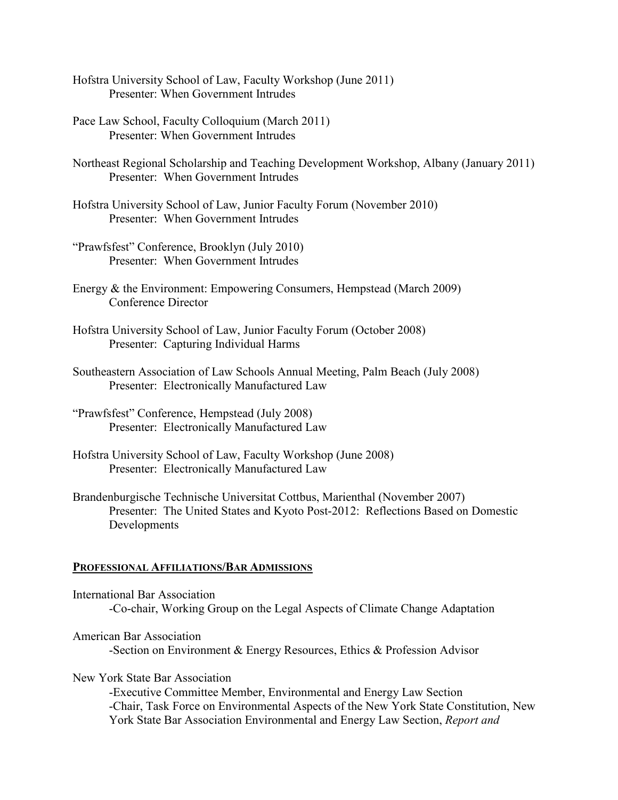- Hofstra University School of Law, Faculty Workshop (June 2011) Presenter: When Government Intrudes
- Pace Law School, Faculty Colloquium (March 2011) Presenter: When Government Intrudes
- Northeast Regional Scholarship and Teaching Development Workshop, Albany (January 2011) Presenter: When Government Intrudes
- Hofstra University School of Law, Junior Faculty Forum (November 2010) Presenter: When Government Intrudes
- "Prawfsfest" Conference, Brooklyn (July 2010) Presenter: When Government Intrudes
- Energy & the Environment: Empowering Consumers, Hempstead (March 2009) Conference Director
- Hofstra University School of Law, Junior Faculty Forum (October 2008) Presenter: Capturing Individual Harms
- Southeastern Association of Law Schools Annual Meeting, Palm Beach (July 2008) Presenter: Electronically Manufactured Law
- "Prawfsfest" Conference, Hempstead (July 2008) Presenter: Electronically Manufactured Law
- Hofstra University School of Law, Faculty Workshop (June 2008) Presenter: Electronically Manufactured Law
- Brandenburgische Technische Universitat Cottbus, Marienthal (November 2007) Presenter: The United States and Kyoto Post-2012: Reflections Based on Domestic Developments

## **PROFESSIONAL AFFILIATIONS/BAR ADMISSIONS**

- International Bar Association -Co-chair, Working Group on the Legal Aspects of Climate Change Adaptation
- American Bar Association -Section on Environment & Energy Resources, Ethics & Profession Advisor
- New York State Bar Association
	- -Executive Committee Member, Environmental and Energy Law Section -Chair, Task Force on Environmental Aspects of the New York State Constitution, New York State Bar Association Environmental and Energy Law Section, *Report and*